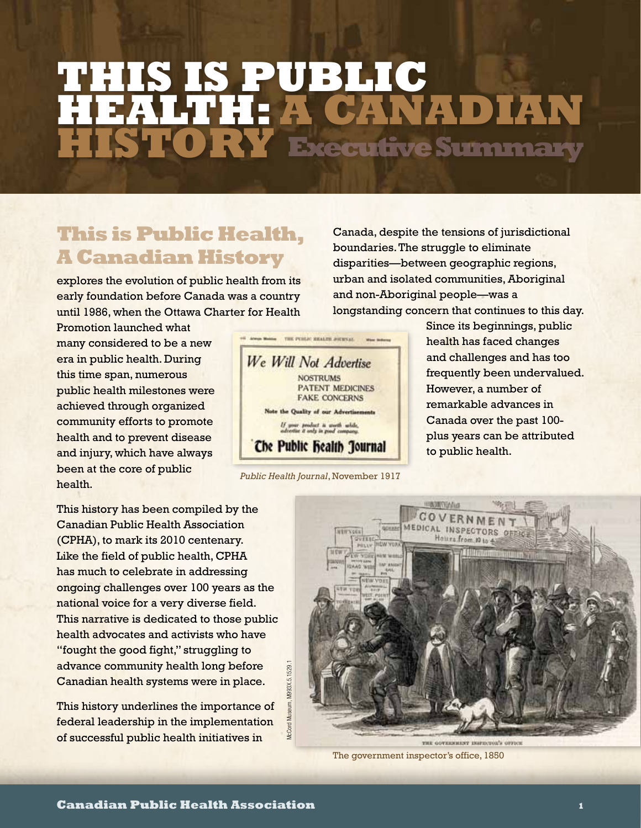# **This is Public Health: A Canadian History Executive Summary**

# **This is Public Health, A Canadian History**

explores the evolution of public health from its early foundation before Canada was a country until 1986, when the Ottawa Charter for Health

Promotion launched what many considered to be a new era in public health. During this time span, numerous public health milestones were achieved through organized community efforts to promote health and to prevent disease and injury, which have always been at the core of public health.

This history has been compiled by the Canadian Public Health Association (CPHA), to mark its 2010 centenary. Like the field of public health, CPHA has much to celebrate in addressing ongoing challenges over 100 years as the national voice for a very diverse field. This narrative is dedicated to those public health advocates and activists who have "fought the good fight," struggling to advance community health long before Canadian health systems were in place.

This history underlines the importance of federal leadership in the implementation of successful public health initiatives in

Canada, despite the tensions of jurisdictional boundaries. The struggle to eliminate disparities—between geographic regions, urban and isolated communities, Aboriginal and non-Aboriginal people—was a longstanding concern that continues to this day.



*Public Health Journal*, November 1917

McCord Museum, M993X.5.1529.1

1993X.5.1529.

Since its beginnings, public health has faced changes and challenges and has too frequently been undervalued. However, a number of remarkable advances in Canada over the past 100 plus years can be attributed to public health.



The government inspector's office, 1850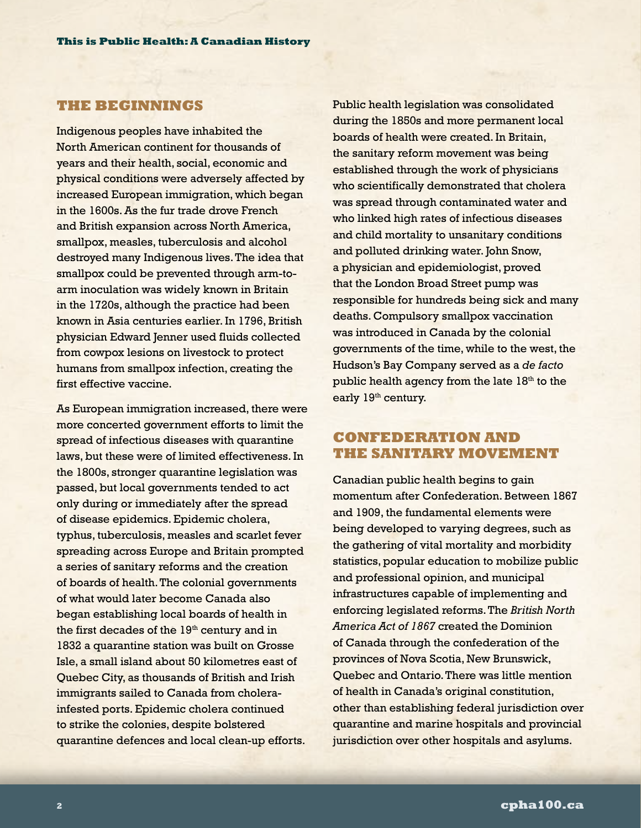## **The Beginnings**

Indigenous peoples have inhabited the North American continent for thousands of years and their health, social, economic and physical conditions were adversely affected by increased European immigration, which began in the 1600s. As the fur trade drove French and British expansion across North America, smallpox, measles, tuberculosis and alcohol destroyed many Indigenous lives. The idea that smallpox could be prevented through arm-toarm inoculation was widely known in Britain in the 1720s, although the practice had been known in Asia centuries earlier. In 1796, British physician Edward Jenner used fluids collected from cowpox lesions on livestock to protect humans from smallpox infection, creating the first effective vaccine.

As European immigration increased, there were more concerted government efforts to limit the spread of infectious diseases with quarantine laws, but these were of limited effectiveness. In the 1800s, stronger quarantine legislation was passed, but local governments tended to act only during or immediately after the spread of disease epidemics. Epidemic cholera, typhus, tuberculosis, measles and scarlet fever spreading across Europe and Britain prompted a series of sanitary reforms and the creation of boards of health. The colonial governments of what would later become Canada also began establishing local boards of health in the first decades of the 19<sup>th</sup> century and in 1832 a quarantine station was built on Grosse Isle, a small island about 50 kilometres east of Quebec City, as thousands of British and Irish immigrants sailed to Canada from cholerainfested ports. Epidemic cholera continued to strike the colonies, despite bolstered quarantine defences and local clean-up efforts.

Public health legislation was consolidated during the 1850s and more permanent local boards of health were created. In Britain, the sanitary reform movement was being established through the work of physicians who scientifically demonstrated that cholera was spread through contaminated water and who linked high rates of infectious diseases and child mortality to unsanitary conditions and polluted drinking water. John Snow, a physician and epidemiologist, proved that the London Broad Street pump was responsible for hundreds being sick and many deaths. Compulsory smallpox vaccination was introduced in Canada by the colonial governments of the time, while to the west, the Hudson's Bay Company served as a *de facto* public health agency from the late 18<sup>th</sup> to the early 19<sup>th</sup> century.

# **Confederation and the Sanitary Movement**

Canadian public health begins to gain momentum after Confederation. Between 1867 and 1909, the fundamental elements were being developed to varying degrees, such as the gathering of vital mortality and morbidity statistics, popular education to mobilize public and professional opinion, and municipal infrastructures capable of implementing and enforcing legislated reforms. The *British North America Act of 1867* created the Dominion of Canada through the confederation of the provinces of Nova Scotia, New Brunswick, Quebec and Ontario. There was little mention of health in Canada's original constitution, other than establishing federal jurisdiction over quarantine and marine hospitals and provincial jurisdiction over other hospitals and asylums.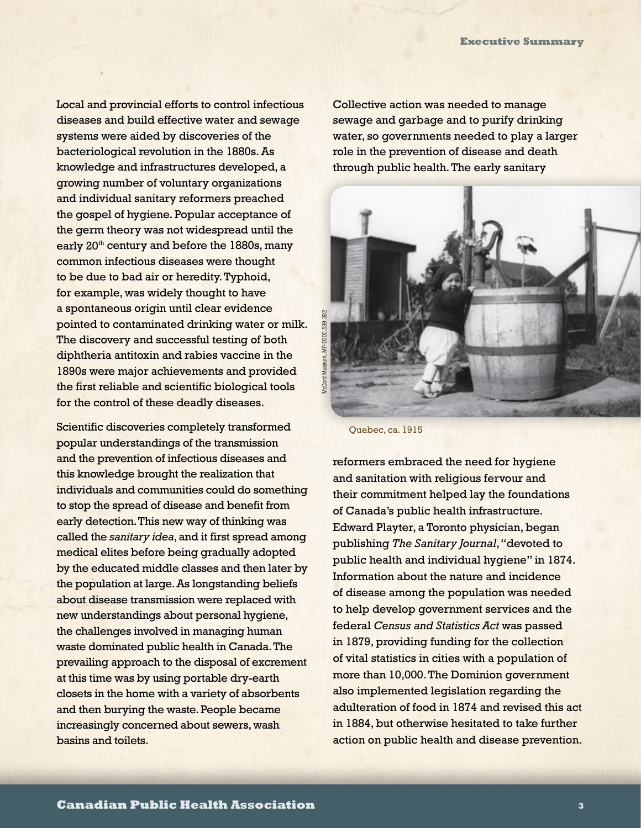Local and provincial efforts to control infectious diseases and build effective water and sewage systems were aided by discoveries of the bacteriological revolution in the 1880s. As knowledge and infrastructures developed, a growing number of voluntary organizations and individual sanitary reformers preached the gospel of hygiene. Popular acceptance of the germ theory was not widespread until the early 20<sup>th</sup> century and before the 1880s, many common infectious diseases were thought to be due to bad air or heredity. Typhoid, for example, was widely thought to have a spontaneous origin until clear evidence pointed to contaminated drinking water or milk. The discovery and successful testing of both diphtheria antitoxin and rabies vaccine in the 1890s were major achievements and provided the first reliable and scientific biological tools for the control of these deadly diseases.

Scientific discoveries completely transformed popular understandings of the transmission and the prevention of infectious diseases and this knowledge brought the realization that individuals and communities could do something to stop the spread of disease and benefit from early detection. This new way of thinking was called the *sanitary idea*, and it first spread among medical elites before being gradually adopted by the educated middle classes and then later by the population at large. As longstanding beliefs about disease transmission were replaced with new understandings about personal hygiene, the challenges involved in managing human waste dominated public health in Canada. The prevailing approach to the disposal of excrement at this time was by using portable dry-earth closets in the home with a variety of absorbents and then burying the waste. People became increasingly concerned about sewers, wash basins and toilets.

Collective action was needed to manage sewage and garbage and to purify drinking water, so governments needed to play a larger role in the prevention of disease and death through public health. The early sanitary



Quebec, ca. 1915

reformers embraced the need for hygiene and sanitation with religious fervour and their commitment helped lay the foundations of Canada's public health infrastructure. Edward Playter, a Toronto physician, began publishing *The Sanitary Journal*, "devoted to public health and individual hygiene" in 1874. Information about the nature and incidence of disease among the population was needed to help develop government services and the federal *Census and Statistics Act* was passed in 1879, providing funding for the collection of vital statistics in cities with a population of more than 10,000. The Dominion government also implemented legislation regarding the adulteration of food in 1874 and revised this act in 1884, but otherwise hesitated to take further action on public health and disease prevention.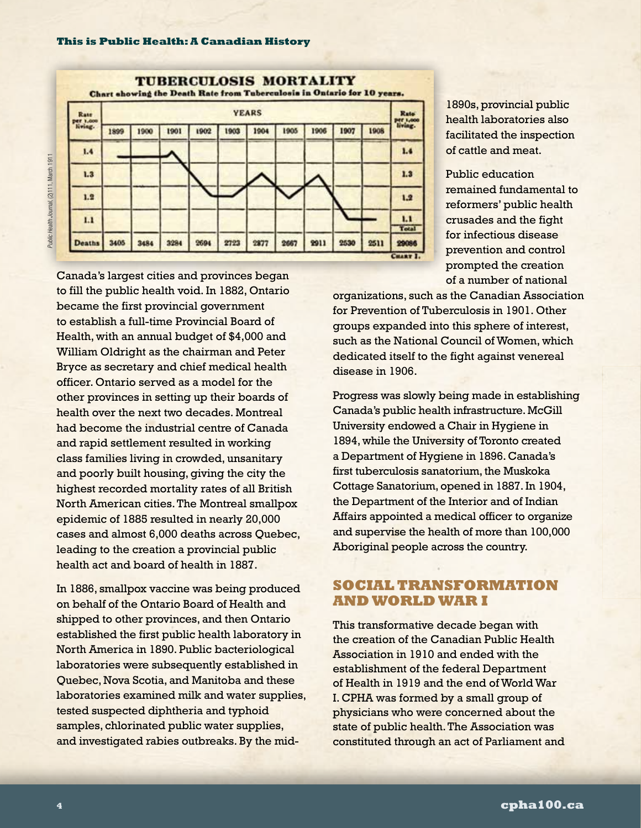#### **This is Public Health: A Canadian History**

| Rate<br>000.1 190<br>living. | <b>YEARS</b> |      |      |      |      |      |      |      |      |      | Rate                 |
|------------------------------|--------------|------|------|------|------|------|------|------|------|------|----------------------|
|                              | 1899         | 1900 | 1901 | 1902 | 1903 | 1904 | 1905 | 1906 | 1907 | 1908 | per 1,000<br>living. |
| 1.4                          |              |      |      |      |      |      |      |      |      |      | 1.4                  |
| 1.3                          |              |      |      |      |      |      |      |      |      |      | 1.3                  |
| 1.2                          |              |      |      |      |      |      |      |      |      |      | 1.2                  |
| 1.1                          |              |      |      |      |      |      |      |      |      |      | 1.1<br><b>Total</b>  |
| <b>Deaths</b>                | 3405         | 3484 | 3284 | 2694 | 2723 | 2877 | 2667 | 9911 | 2530 | 2511 | 29086                |

**TUBERCULOSIS MORTALITY** 

1890s, provincial public health laboratories also facilitated the inspection of cattle and meat.

Public education remained fundamental to reformers' public health crusades and the fight for infectious disease prevention and control prompted the creation of a number of national

Canada's largest cities and provinces began to fill the public health void. In 1882, Ontario became the first provincial government to establish a full-time Provincial Board of Health, with an annual budget of \$4,000 and William Oldright as the chairman and Peter Bryce as secretary and chief medical health officer. Ontario served as a model for the other provinces in setting up their boards of health over the next two decades. Montreal had become the industrial centre of Canada and rapid settlement resulted in working class families living in crowded, unsanitary and poorly built housing, giving the city the highest recorded mortality rates of all British North American cities. The Montreal smallpox epidemic of 1885 resulted in nearly 20,000 cases and almost 6,000 deaths across Quebec, leading to the creation a provincial public health act and board of health in 1887.

In 1886, smallpox vaccine was being produced on behalf of the Ontario Board of Health and shipped to other provinces, and then Ontario established the first public health laboratory in North America in 1890. Public bacteriological laboratories were subsequently established in Quebec, Nova Scotia, and Manitoba and these laboratories examined milk and water supplies, tested suspected diphtheria and typhoid samples, chlorinated public water supplies, and investigated rabies outbreaks. By the midorganizations, such as the Canadian Association for Prevention of Tuberculosis in 1901. Other groups expanded into this sphere of interest, such as the National Council of Women, which dedicated itself to the fight against venereal disease in 1906.

Progress was slowly being made in establishing Canada's public health infrastructure. McGill University endowed a Chair in Hygiene in 1894, while the University of Toronto created a Department of Hygiene in 1896. Canada's first tuberculosis sanatorium, the Muskoka Cottage Sanatorium, opened in 1887. In 1904, the Department of the Interior and of Indian Affairs appointed a medical officer to organize and supervise the health of more than 100,000 Aboriginal people across the country.

#### **Social Transformation and World War I**

This transformative decade began with the creation of the Canadian Public Health Association in 1910 and ended with the establishment of the federal Department of Health in 1919 and the end of World War I. CPHA was formed by a small group of physicians who were concerned about the state of public health. The Association was constituted through an act of Parliament and

*Public Health Journal*, (2)111, March 1911

Public Health Journal, (2)111, March 1911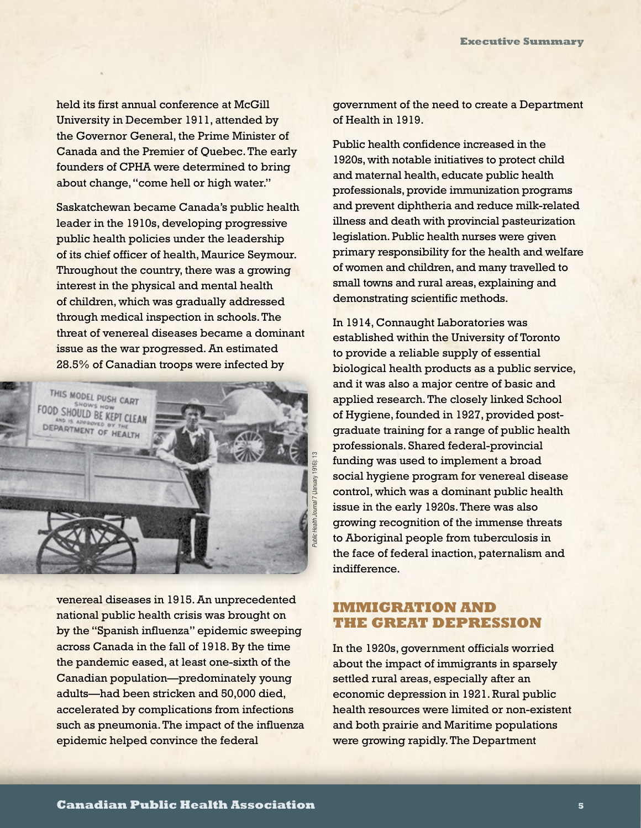held its first annual conference at McGill University in December 1911, attended by the Governor General, the Prime Minister of Canada and the Premier of Quebec. The early founders of CPHA were determined to bring about change, "come hell or high water."

Saskatchewan became Canada's public health leader in the 1910s, developing progressive public health policies under the leadership of its chief officer of health, Maurice Seymour. Throughout the country, there was a growing interest in the physical and mental health of children, which was gradually addressed through medical inspection in schools. The threat of venereal diseases became a dominant issue as the war progressed. An estimated 28.5% of Canadian troops were infected by



venereal diseases in 1915. An unprecedented national public health crisis was brought on by the "Spanish influenza" epidemic sweeping across Canada in the fall of 1918. By the time the pandemic eased, at least one-sixth of the Canadian population—predominately young adults—had been stricken and 50,000 died, accelerated by complications from infections such as pneumonia. The impact of the influenza epidemic helped convince the federal

government of the need to create a Department of Health in 1919.

Public health confidence increased in the 1920s, with notable initiatives to protect child and maternal health, educate public health professionals, provide immunization programs and prevent diphtheria and reduce milk-related illness and death with provincial pasteurization legislation. Public health nurses were given primary responsibility for the health and welfare of women and children, and many travelled to small towns and rural areas, explaining and demonstrating scientific methods.

In 1914, Connaught Laboratories was established within the University of Toronto to provide a reliable supply of essential biological health products as a public service, and it was also a major centre of basic and applied research. The closely linked School of Hygiene, founded in 1927, provided postgraduate training for a range of public health professionals. Shared federal-provincial funding was used to implement a broad social hygiene program for venereal disease control, which was a dominant public health issue in the early 1920s. There was also growing recognition of the immense threats to Aboriginal people from tuberculosis in the face of federal inaction, paternalism and indifference.

# **Immigration and the Great Depression**

In the 1920s, government officials worried about the impact of immigrants in sparsely settled rural areas, especially after an economic depression in 1921. Rural public health resources were limited or non-existent and both prairie and Maritime populations were growing rapidly. The Department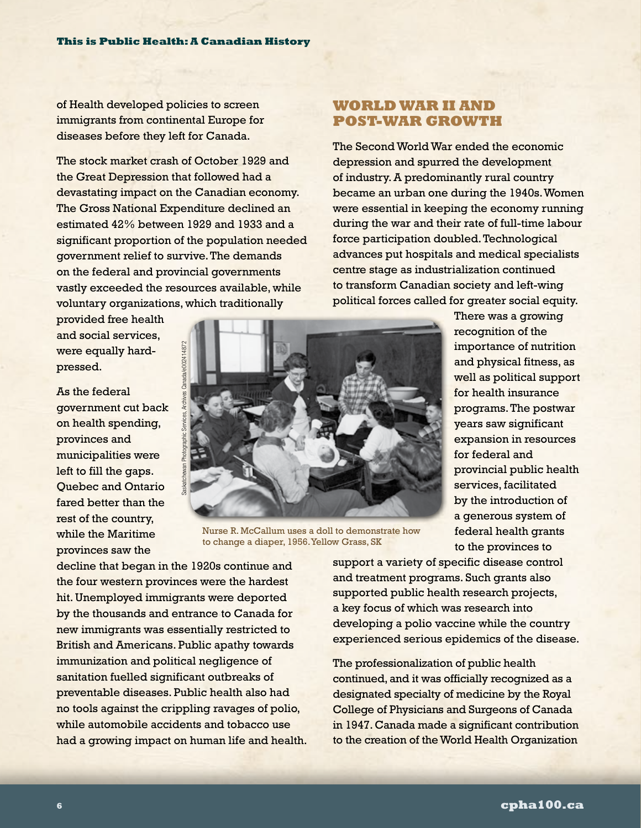of Health developed policies to screen immigrants from continental Europe for diseases before they left for Canada.

The stock market crash of October 1929 and the Great Depression that followed had a devastating impact on the Canadian economy. The Gross National Expenditure declined an estimated 42% between 1929 and 1933 and a significant proportion of the population needed government relief to survive. The demands on the federal and provincial governments vastly exceeded the resources available, while voluntary organizations, which traditionally

provided free health and social services, were equally hardpressed.

As the federal government cut back on health spending, provinces and municipalities were left to fill the gaps. Quebec and Ontario fared better than the rest of the country, while the Maritime provinces saw the



Nurse R. McCallum uses a doll to demonstrate how to change a diaper, 1956. Yellow Grass, SK

decline that began in the 1920s continue and the four western provinces were the hardest hit. Unemployed immigrants were deported by the thousands and entrance to Canada for new immigrants was essentially restricted to British and Americans. Public apathy towards immunization and political negligence of sanitation fuelled significant outbreaks of preventable diseases. Public health also had no tools against the crippling ravages of polio, while automobile accidents and tobacco use had a growing impact on human life and health. support a variety of specific disease control and treatment programs. Such grants also supported public health research projects, a key focus of which was research into developing a polio vaccine while the country experienced serious epidemics of the disease.

The professionalization of public health continued, and it was officially recognized as a designated specialty of medicine by the Royal College of Physicians and Surgeons of Canada in 1947. Canada made a significant contribution to the creation of the World Health Organization

#### **World War II and Post-War Growth**

The Second World War ended the economic depression and spurred the development of industry. A predominantly rural country became an urban one during the 1940s. Women were essential in keeping the economy running during the war and their rate of full-time labour force participation doubled. Technological advances put hospitals and medical specialists centre stage as industrialization continued to transform Canadian society and left-wing political forces called for greater social equity.

> There was a growing recognition of the importance of nutrition and physical fitness, as well as political support for health insurance programs. The postwar years saw significant expansion in resources for federal and provincial public health services, facilitated by the introduction of a generous system of federal health grants to the provinces to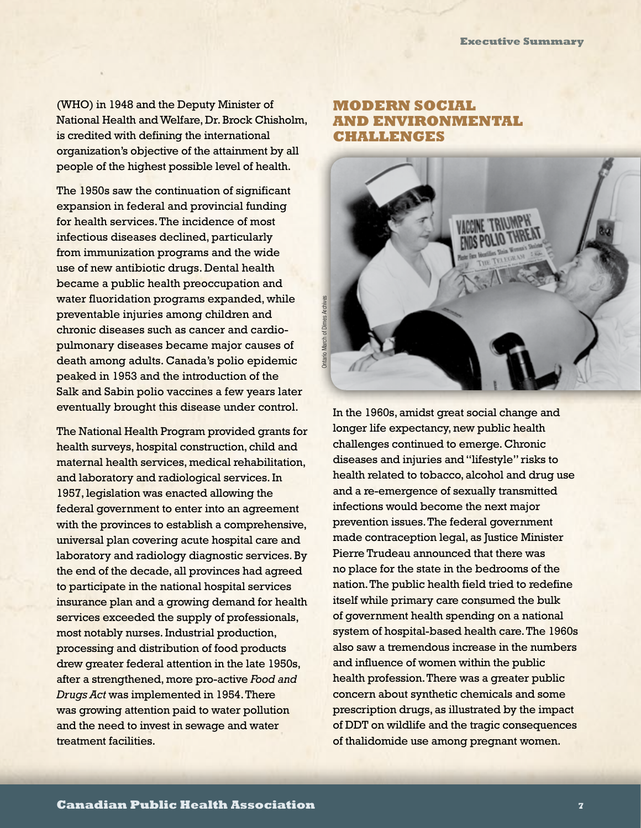(WHO) in 1948 and the Deputy Minister of National Health and Welfare, Dr. Brock Chisholm, is credited with defining the international organization's objective of the attainment by all people of the highest possible level of health.

The 1950s saw the continuation of significant expansion in federal and provincial funding for health services. The incidence of most infectious diseases declined, particularly from immunization programs and the wide use of new antibiotic drugs. Dental health became a public health preoccupation and water fluoridation programs expanded, while preventable injuries among children and chronic diseases such as cancer and cardiopulmonary diseases became major causes of death among adults. Canada's polio epidemic peaked in 1953 and the introduction of the Salk and Sabin polio vaccines a few years later eventually brought this disease under control.

The National Health Program provided grants for health surveys, hospital construction, child and maternal health services, medical rehabilitation, and laboratory and radiological services. In 1957, legislation was enacted allowing the federal government to enter into an agreement with the provinces to establish a comprehensive, universal plan covering acute hospital care and laboratory and radiology diagnostic services. By the end of the decade, all provinces had agreed to participate in the national hospital services insurance plan and a growing demand for health services exceeded the supply of professionals, most notably nurses. Industrial production, processing and distribution of food products drew greater federal attention in the late 1950s, after a strengthened, more pro-active *Food and Drugs Act* was implemented in 1954. There was growing attention paid to water pollution and the need to invest in sewage and water treatment facilities.

### **Modern Social and Environmental Challenges**



In the 1960s, amidst great social change and longer life expectancy, new public health challenges continued to emerge. Chronic diseases and injuries and "lifestyle" risks to health related to tobacco, alcohol and drug use and a re-emergence of sexually transmitted infections would become the next major prevention issues. The federal government made contraception legal, as Justice Minister Pierre Trudeau announced that there was no place for the state in the bedrooms of the nation. The public health field tried to redefine itself while primary care consumed the bulk of government health spending on a national system of hospital-based health care. The 1960s also saw a tremendous increase in the numbers and influence of women within the public health profession. There was a greater public concern about synthetic chemicals and some prescription drugs, as illustrated by the impact of DDT on wildlife and the tragic consequences of thalidomide use among pregnant women.